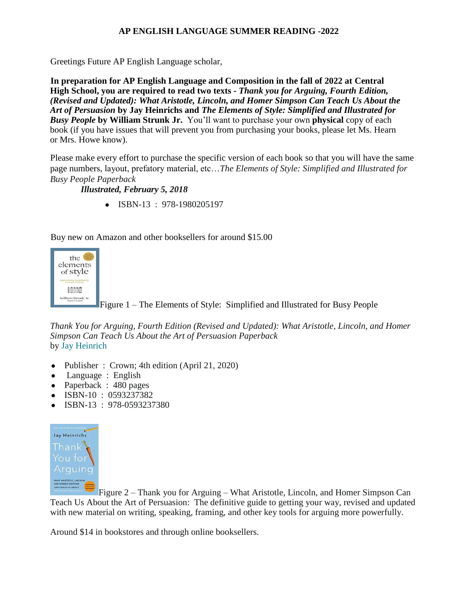### **AP ENGLISH LANGUAGE SUMMER READING -2022**

Greetings Future AP English Language scholar,

**In preparation for AP English Language and Composition in the fall of 2022 at Central High School, you are required to read two texts -** *Thank you for Arguing, Fourth Edition, (Revised and Updated): What Aristotle, Lincoln, and Homer Simpson Can Teach Us About the Art of Persuasion* **by Jay Heinrichs and** *The Elements of Style: Simplified and Illustrated for Busy People* **by William Strunk Jr.** You'll want to purchase your own **physical** copy of each book (if you have issues that will prevent you from purchasing your books, please let Ms. Hearn or Mrs. Howe know).

Please make every effort to purchase the specific version of each book so that you will have the same page numbers, layout, prefatory material, etc…*The Elements of Style: Simplified and Illustrated for Busy People Paperback* 

*Illustrated, February 5, 2018*

● ISBN-13 : 978-1980205197

Buy new on Amazon and other booksellers for around \$15.00



Figure 1 – The Elements of Style: Simplified and Illustrated for Busy People

*Thank You for Arguing, Fourth Edition (Revised and Updated): What Aristotle, Lincoln, and Homer Simpson Can Teach Us About the Art of Persuasion Paperback* by [Jay Heinrich](https://www.amazon.com/Jay-Heinrichs/e/B001IGNMP0/ref=dp_byline_cont_book_1)

- Publisher : Crown; 4th edition (April 21, 2020)
- Language : English
- Paperback : 480 pages
- ISBN-10 : 0593237382
- ISBN-13 : 978-0593237380



Figure 2 – Thank you for Arguing – What Aristotle, Lincoln, and Homer Simpson Can Teach Us About the Art of Persuasion: The definitive guide to getting your way, revised and updated with new material on writing, speaking, framing, and other key tools for arguing more powerfully.

Around \$14 in bookstores and through online booksellers.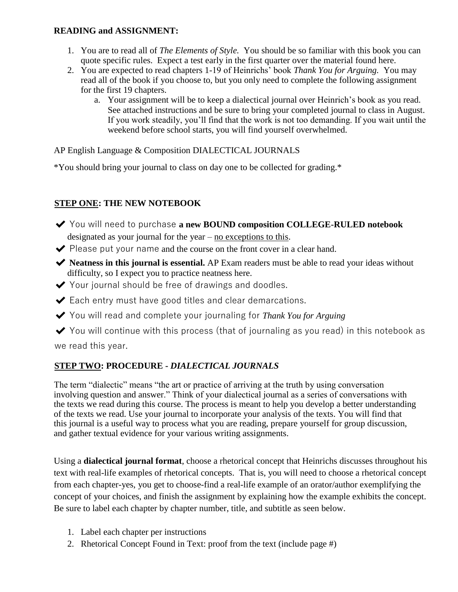### **READING and ASSIGNMENT:**

- 1. You are to read all of *The Elements of Style.* You should be so familiar with this book you can quote specific rules. Expect a test early in the first quarter over the material found here.
- 2. You are expected to read chapters 1-19 of Heinrichs' book *Thank You for Arguing.* You may read all of the book if you choose to, but you only need to complete the following assignment for the first 19 chapters.
	- a. Your assignment will be to keep a dialectical journal over Heinrich's book as you read. See attached instructions and be sure to bring your completed journal to class in August. If you work steadily, you'll find that the work is not too demanding. If you wait until the weekend before school starts, you will find yourself overwhelmed.

AP English Language & Composition DIALECTICAL JOURNALS

\*You should bring your journal to class on day one to be collected for grading.\*

## **STEP ONE: THE NEW NOTEBOOK**

- ✔ You will need to purchase **a new BOUND composition COLLEGE-RULED notebook**  designated as your journal for the year – no exceptions to this.
- $\blacktriangleright$  Please put your name and the course on the front cover in a clear hand.
- ✔ **Neatness in this journal is essential.** AP Exam readers must be able to read your ideas without difficulty, so I expect you to practice neatness here.
- ◆ Your journal should be free of drawings and doodles.
- $\blacktriangleright$  Each entry must have good titles and clear demarcations.
- ◆ You will read and complete your journaling for *Thank You for Arguing*
- $\blacktriangleright$  You will continue with this process (that of journaling as you read) in this notebook as we read this year.

# **STEP TWO: PROCEDURE -** *DIALECTICAL JOURNALS*

The term "dialectic" means "the art or practice of arriving at the truth by using conversation involving question and answer." Think of your dialectical journal as a series of conversations with the texts we read during this course. The process is meant to help you develop a better understanding of the texts we read. Use your journal to incorporate your analysis of the texts. You will find that this journal is a useful way to process what you are reading, prepare yourself for group discussion, and gather textual evidence for your various writing assignments.

Using a **dialectical journal format**, choose a rhetorical concept that Heinrichs discusses throughout his text with real-life examples of rhetorical concepts. That is, you will need to choose a rhetorical concept from each chapter-yes, you get to choose-find a real-life example of an orator/author exemplifying the concept of your choices, and finish the assignment by explaining how the example exhibits the concept. Be sure to label each chapter by chapter number, title, and subtitle as seen below.

- 1. Label each chapter per instructions
- 2. Rhetorical Concept Found in Text: proof from the text (include page #)